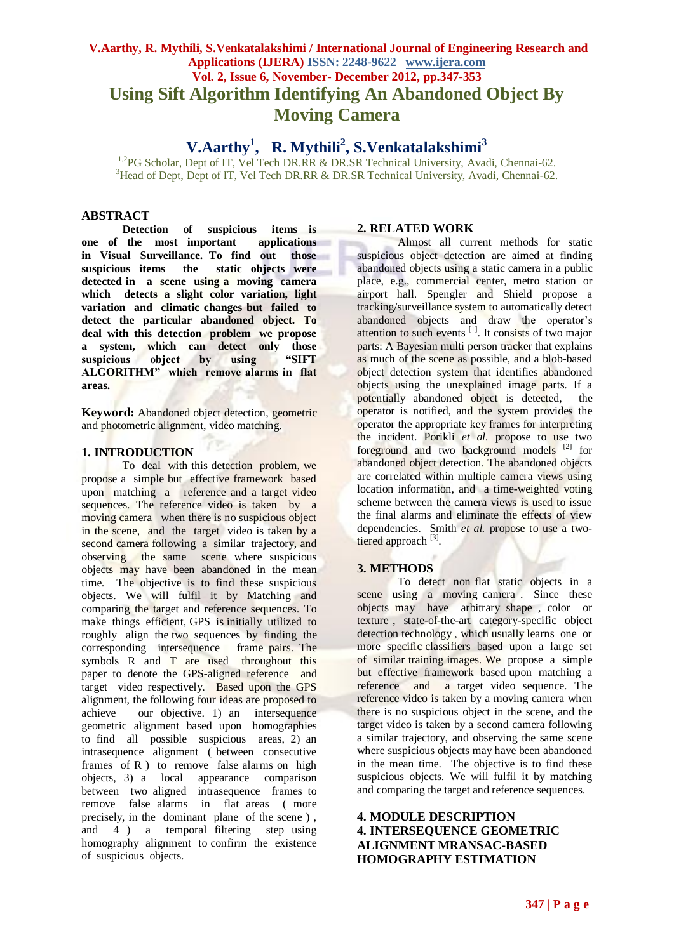# **V.Aarthy, R. Mythili, S.Venkatalakshimi / International Journal of Engineering Research and Applications (IJERA) ISSN: 2248-9622 www.ijera.com Vol. 2, Issue 6, November- December 2012, pp.347-353 Using Sift Algorithm Identifying An Abandoned Object By Moving Camera**

# **V.Aarthy<sup>1</sup> , R. Mythili<sup>2</sup> , S.Venkatalakshimi<sup>3</sup>**

<sup>1,2</sup>PG Scholar, Dept of IT, Vel Tech DR.RR & DR.SR Technical University, Avadi, Chennai-62. <sup>3</sup>Head of Dept, Dept of IT, Vel Tech DR.RR & DR.SR Technical University, Avadi, Chennai-62.

#### **ABSTRACT**

**Detection of suspicious items is one of the most important applications in Visual Surveillance. To find out those suspicious items the static objects were detected in a scene using a moving camera**  which detects a slight color variation, light **variation and climatic changes but failed to detect the particular abandoned object. To deal with this detection problem we propose a system, which can detect only those suspicious object by using "SIFT ALGORITHM" which remove alarms in flat areas.**

**Keyword:** Abandoned object detection, geometric and photometric alignment, video matching.

# **1. INTRODUCTION**

To deal with this detection problem, we propose a simple but effective framework based upon matching a reference and a target video sequences. The reference video is taken by a moving camera when there is no suspicious object in the scene, and the target video is taken by a second camera following a similar trajectory, and observing the same scene where suspicious objects may have been abandoned in the mean time. The objective is to find these suspicious objects. We will fulfil it by Matching and comparing the target and reference sequences. To make things efficient, GPS is initially utilized to roughly align the two sequences by finding the corresponding intersequence frame pairs. The symbols R and T are used throughout this paper to denote the GPS-aligned reference and target video respectively. Based upon the GPS alignment, the following four ideas are proposed to achieve our objective. 1) an intersequence geometric alignment based upon homographies to find all possible suspicious areas, 2) an intrasequence alignment ( between consecutive frames of R ) to remove false alarms on high objects, 3) a local appearance comparison between two aligned intrasequence frames to remove false alarms in flat areas ( more precisely, in the dominant plane of the scene ) , and  $\overline{4}$  ) a temporal filtering step using homography alignment to confirm the existence of suspicious objects.

#### **2. RELATED WORK**

Almost all current methods for static suspicious object detection are aimed at finding abandoned objects using a static camera in a public place, e.g., commercial center, metro station or airport hall. Spengler and Shield propose a tracking/surveillance system to automatically detect abandoned objects and draw the operator's  $\frac{1}{2}$  attention to such events  $\frac{1}{2}$ . It consists of two major parts: A Bayesian multi person tracker that explains as much of the scene as possible, and a blob-based object detection system that identifies abandoned objects using the unexplained image parts. If a potentially abandoned object is detected, the operator is notified, and the system provides the operator the appropriate key frames for interpreting the incident. Porikli *et al.* propose to use two foreground and two background models [2] for abandoned object detection. The abandoned objects are correlated within multiple camera views using location information, and a time-weighted voting scheme between the camera views is used to issue the final alarms and eliminate the effects of view dependencies. Smith *et al.* propose to use a twotiered approach<sup>[3]</sup>.

## **3. METHODS**

To detect non flat static objects in a scene using a moving camera. Since these objects may have arbitrary shape , color or texture , state-of-the-art category-specific object detection technology , which usually learns one or more specific classifiers based upon a large set of similar training images. We propose a simple but effective framework based upon matching a reference and a target video sequence. The reference video is taken by a moving camera when there is no suspicious object in the scene, and the target video is taken by a second camera following a similar trajectory, and observing the same scene where suspicious objects may have been abandoned in the mean time. The objective is to find these suspicious objects. We will fulfil it by matching and comparing the target and reference sequences.

# **4. MODULE DESCRIPTION 4. INTERSEQUENCE GEOMETRIC ALIGNMENT MRANSAC-BASED HOMOGRAPHY ESTIMATION**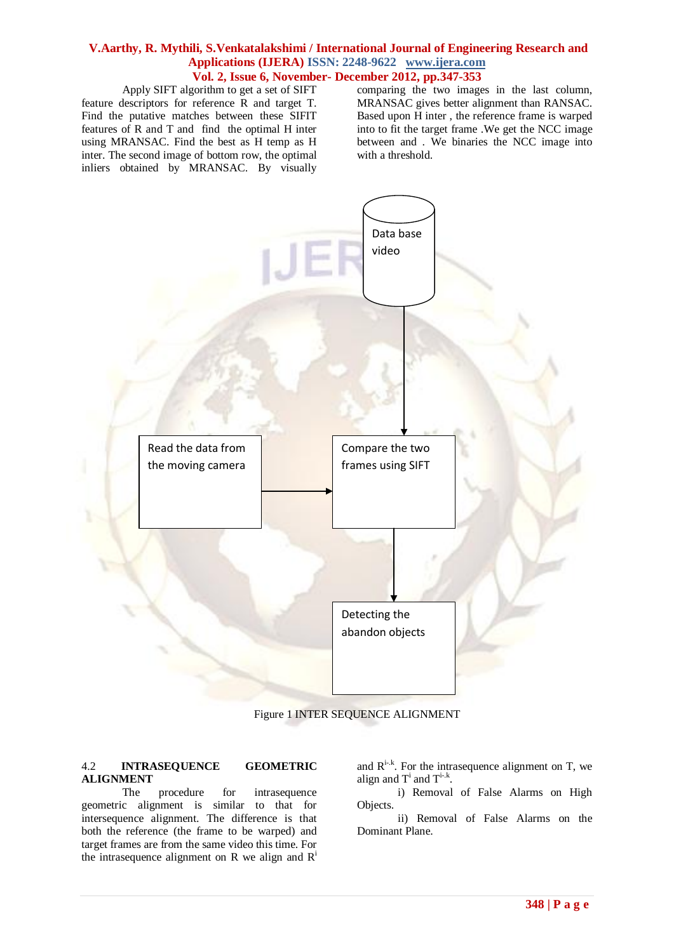Apply SIFT algorithm to get a set of SIFT

feature descriptors for reference R and target T. Find the putative matches between these SIFIT features of R and T and find the optimal H inter using MRANSAC. Find the best as H temp as H inter. The second image of bottom row, the optimal inliers obtained by MRANSAC. By visually comparing the two images in the last column, MRANSAC gives better alignment than RANSAC. Based upon H inter , the reference frame is warped into to fit the target frame .We get the NCC image between and . We binaries the NCC image into with a threshold.



Figure 1 INTER SEQUENCE ALIGNMENT

#### 4.2 **INTRASEQUENCE GEOMETRIC ALIGNMENT**

The procedure for intrasequence geometric alignment is similar to that for intersequence alignment. The difference is that both the reference (the frame to be warped) and target frames are from the same video this time. For the intrasequence alignment on R we align and  $R^i$ 

and  $R^{i-k}$ . For the intrasequence alignment on T, we align and  $T^i$  and  $T^{i..k}$ .

i) Removal of False Alarms on High Objects.

ii) Removal of False Alarms on the Dominant Plane.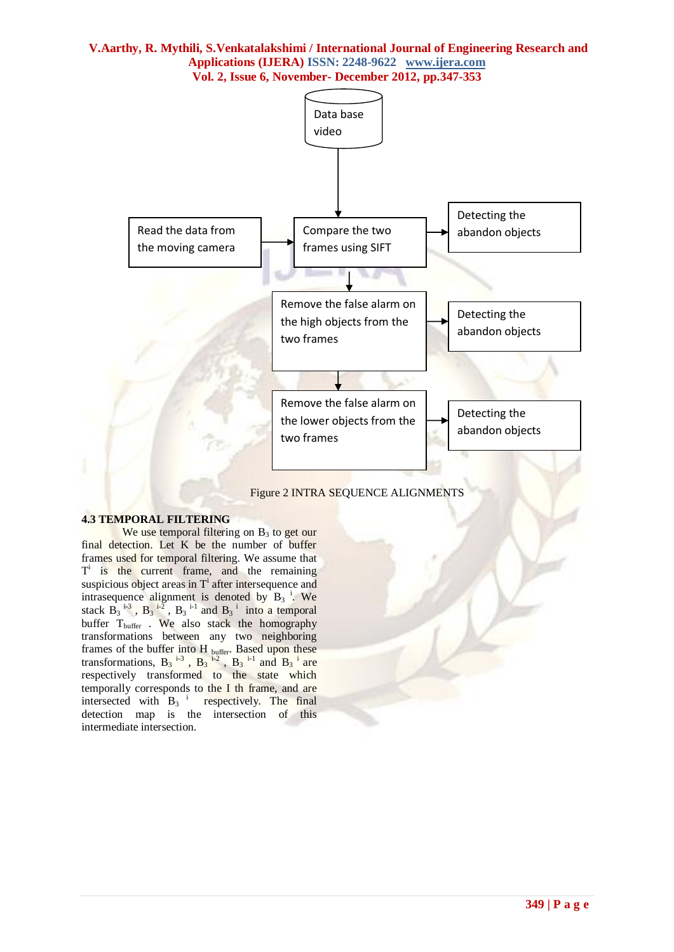

Figure 2 INTRA SEQUENCE ALIGNMENTS

# **4.3 TEMPORAL FILTERING**

We use temporal filtering on  $B_3$  to get our final detection. Let K be the number of buffer frames used for temporal filtering. We assume that T<sup>i</sup> is the current frame, and the remaining suspicious object areas in  $T<sup>i</sup>$  after intersequence and intrasequence alignment is denoted by  $B_3$ <sup>i</sup>. We stack  $\overline{B_3}^{i-3}$ ,  $\overline{B_3}^{i-2}$ ,  $\overline{B_3}^{i-1}$  and  $\overline{B_3}^{i}$  into a temporal buffer T<sub>buffer</sub> . We also stack the homography transformations between any two neighboring frames of the buffer into H buffer. Based upon these transformations,  $B_3$ <sup>i-3</sup>,  $B_3$ <sup>i-2</sup>,  $B_3$ <sup>i-1</sup> and  $B_3$ <sup>i</sup> are respectively transformed to the state which temporally corresponds to the I th frame, and are intersected with  $B_3$ <sup>i</sup> respectively. The final detection map is the intersection of this intermediate intersection.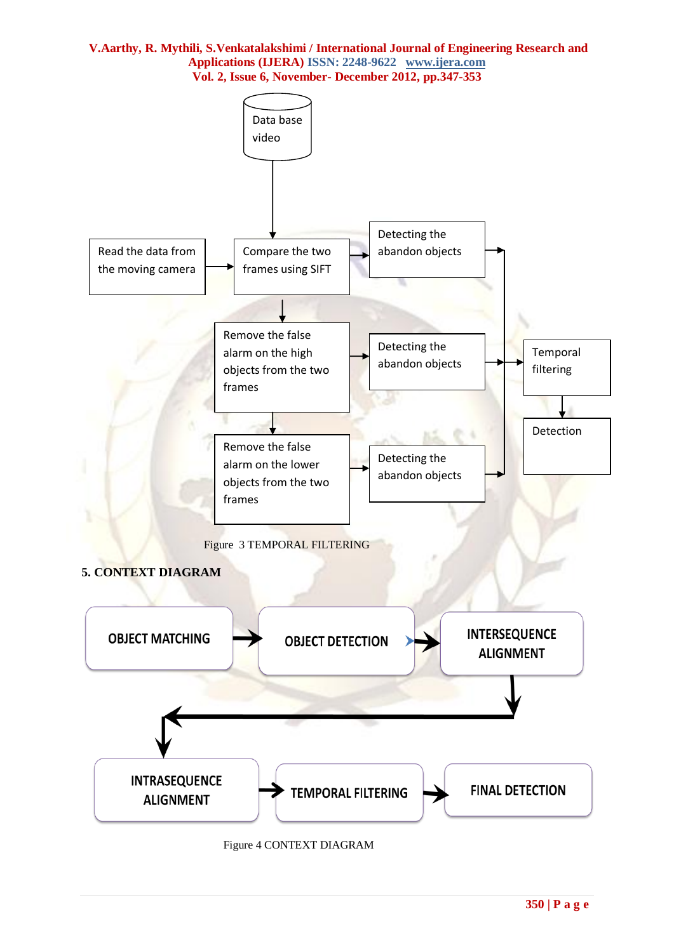

Figure 4 CONTEXT DIAGRAM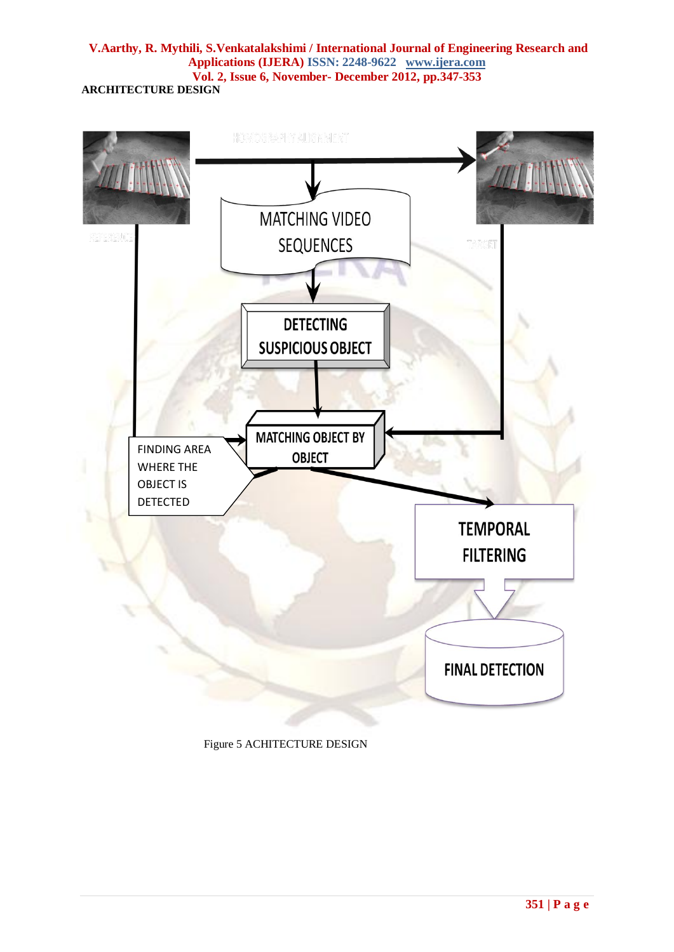

Figure 5 ACHITECTURE DESIGN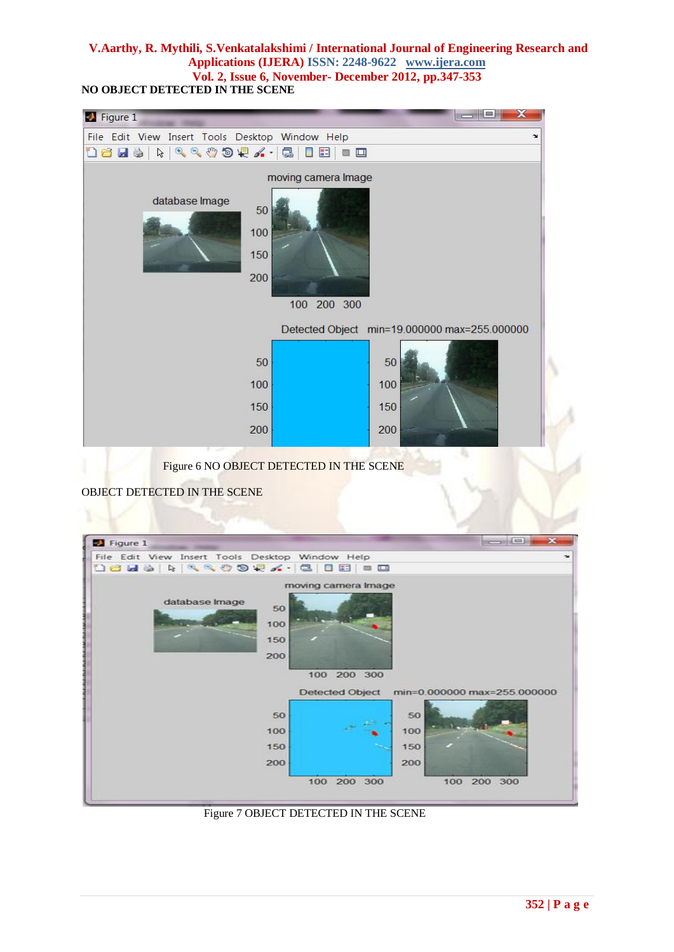**NO OBJECT DETECTED IN THE SCENE**

| Figure 1                                                                                                                               |                                              |
|----------------------------------------------------------------------------------------------------------------------------------------|----------------------------------------------|
| File Edit View Insert Tools Desktop Window Help                                                                                        | $\mathbf{v}$                                 |
| $\begin{array}{c} \mathcal{A} & \mathcal{A} & \mathcal{A} \\ \mathcal{A} & \mathcal{A} & \mathcal{A} \end{array}$<br><b>De de</b><br>ß | E<br>$\blacksquare$                          |
|                                                                                                                                        | moving camera Image                          |
| database Image<br>50<br>100<br>150<br>200                                                                                              | 100 200 300                                  |
|                                                                                                                                        | Detected Object min=19.000000 max=255.000000 |
| 50                                                                                                                                     | 50                                           |
| 100                                                                                                                                    | 100                                          |
| 150                                                                                                                                    | 150                                          |
| 200                                                                                                                                    | 200                                          |
| <b>START OF</b>                                                                                                                        |                                              |

Figure 6 NO OBJECT DETECTED IN THE SCENE

OBJECT DETECTED IN THE SCENE

| Figure 1                                        | $\mathbf x$<br>$\left\vert \right\vert$ and $\left\vert \right\vert$ |
|-------------------------------------------------|----------------------------------------------------------------------|
| File Edit View Insert Tools Desktop Window Help |                                                                      |
| <b>Dels &amp; RROOVA. CIEEE</b>                 |                                                                      |
|                                                 | moving camera Image                                                  |
| database Image<br>50<br>100<br>150<br>200       | 100 200 300                                                          |
|                                                 | Detected Object min=0.000000 max=255.000000                          |
| 50<br>100                                       | 50<br>100                                                            |
|                                                 |                                                                      |
|                                                 |                                                                      |
| 150                                             | 150                                                                  |
| 200                                             | 200                                                                  |

Figure 7 OBJECT DETECTED IN THE SCENE